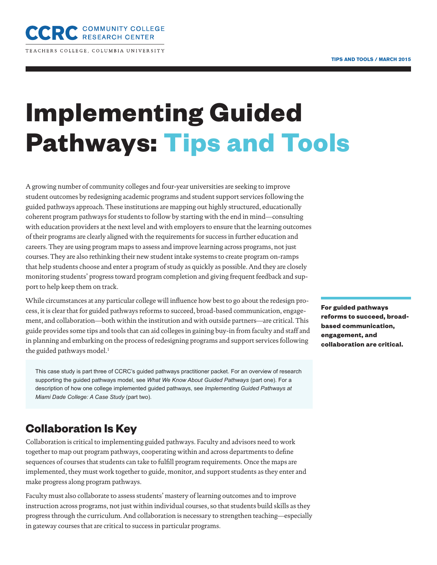

TEACHERS COLLEGE, COLUMBIA UNIVERSITY

# **Implementing Guided Pathways: Tips and Tools**

A growing number of community colleges and four-year universities are seeking to improve student outcomes by redesigning academic programs and student support services following the guided pathways approach. These institutions are mapping out highly structured, educationally coherent program pathways for students to follow by starting with the end in mind—consulting with education providers at the next level and with employers to ensure that the learning outcomes of their programs are clearly aligned with the requirements for success in further education and careers. They are using program maps to assess and improve learning across programs, not just courses. They are also rethinking their new student intake systems to create program on-ramps that help students choose and enter a program of study as quickly as possible. And they are closely monitoring students' progress toward program completion and giving frequent feedback and support to help keep them on track.

While circumstances at any particular college will influence how best to go about the redesign process, it is clear that for guided pathways reforms to succeed, broad-based communication, engagement, and collaboration—both within the institution and with outside partners—are critical. This guide provides some tips and tools that can aid colleges in gaining buy-in from faculty and staff and in planning and embarking on the process of redesigning programs and support services following the guided pathways model.<sup>1</sup>

This case study is part three of CCRC's guided pathways practitioner packet. For an overview of research supporting the guided pathways model, see *What We Know About Guided Pathways* (part one). For a description of how one college implemented guided pathways, see *Implementing Guided Pathways at Miami Dade College: A Case Study* (part two).

## **Collaboration Is Key**

Collaboration is critical to implementing guided pathways. Faculty and advisors need to work together to map out program pathways, cooperating within and across departments to define sequences of courses that students can take to fulfill program requirements. Once the maps are implemented, they must work together to guide, monitor, and support students as they enter and make progress along program pathways.

Faculty must also collaborate to assess students' mastery of learning outcomes and to improve instruction across programs, not just within individual courses, so that students build skills as they progress through the curriculum. And collaboration is necessary to strengthen teaching—especially in gateway courses that are critical to success in particular programs.

**For guided pathways reforms to succeed, broadbased communication, engagement, and collaboration are critical.**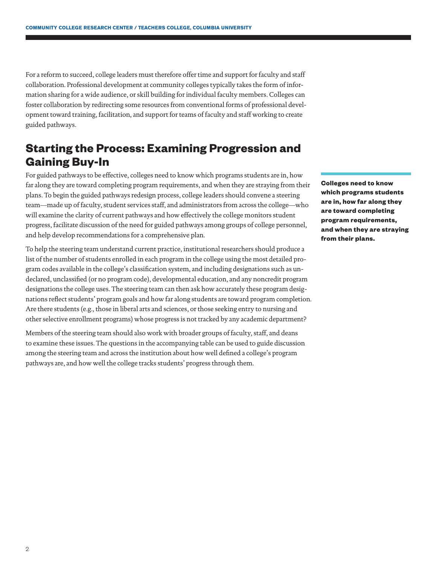For a reform to succeed, college leaders must therefore offer time and support for faculty and staff collaboration. Professional development at community colleges typically takes the form of information sharing for a wide audience, or skill building for individual faculty members. Colleges can foster collaboration by redirecting some resources from conventional forms of professional development toward training, facilitation, and support for teams of faculty and staff working to create guided pathways.

# **Starting the Process: Examining Progression and Gaining Buy-In**

For guided pathways to be effective, colleges need to know which programs students are in, how far along they are toward completing program requirements, and when they are straying from their plans. To begin the guided pathways redesign process, college leaders should convene a steering team—made up of faculty, student services staff, and administrators from across the college—who will examine the clarity of current pathways and how effectively the college monitors student progress, facilitate discussion of the need for guided pathways among groups of college personnel, and help develop recommendations for a comprehensive plan.

To help the steering team understand current practice, institutional researchers should produce a list of the number of students enrolled in each program in the college using the most detailed program codes available in the college's classification system, and including designations such as undeclared, unclassified (or no program code), developmental education, and any noncredit program designations the college uses. The steering team can then ask how accurately these program designations reflect students' program goals and how far along students are toward program completion. Are there students (e.g., those in liberal arts and sciences, or those seeking entry to nursing and other selective enrollment programs) whose progress is not tracked by any academic department?

Members of the steering team should also work with broader groups of faculty, staff, and deans to examine these issues. The questions in the accompanying table can be used to guide discussion among the steering team and across the institution about how well defined a college's program pathways are, and how well the college tracks students' progress through them.

**Colleges need to know which programs students are in, how far along they are toward completing program requirements, and when they are straying from their plans.**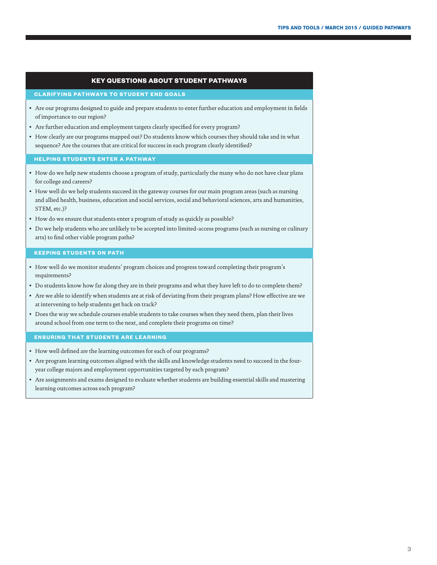#### **KEY QUESTIONS ABOUT STUDENT PATHWAYS**

#### **CLARIFYING PATHWAYS TO STUDENT END GOALS**

- Are our programs designed to guide and prepare students to enter further education and employment in fields of importance to our region?
- Are further education and employment targets clearly specified for every program?
- How clearly are our programs mapped out? Do students know which courses they should take and in what sequence? Are the courses that are critical for success in each program clearly identified?

#### **HELPING STUDENTS ENTER A PATHWAY**

- How do we help new students choose a program of study, particularly the many who do not have clear plans for college and careers?
- How well do we help students succeed in the gateway courses for our main program areas (such as nursing and allied health, business, education and social services, social and behavioral sciences, arts and humanities, STEM, etc.)?
- How do we ensure that students enter a program of study as quickly as possible?
- Do we help students who are unlikely to be accepted into limited-access programs (such as nursing or culinary arts) to find other viable program paths?

#### **KEEPING STUDENTS ON PATH**

- How well do we monitor students' program choices and progress toward completing their program's requirements?
- Do students know how far along they are in their programs and what they have left to do to complete them?
- Are we able to identify when students are at risk of deviating from their program plans? How effective are we at intervening to help students get back on track?
- Does the way we schedule courses enable students to take courses when they need them, plan their lives around school from one term to the next, and complete their programs on time?

#### **ENSURING THAT STUDENTS ARE LEARNING**

- How well defined are the learning outcomes for each of our programs?
- Are program learning outcomes aligned with the skills and knowledge students need to succeed in the fouryear college majors and employment opportunities targeted by each program?
- Are assignments and exams designed to evaluate whether students are building essential skills and mastering learning outcomes across each program?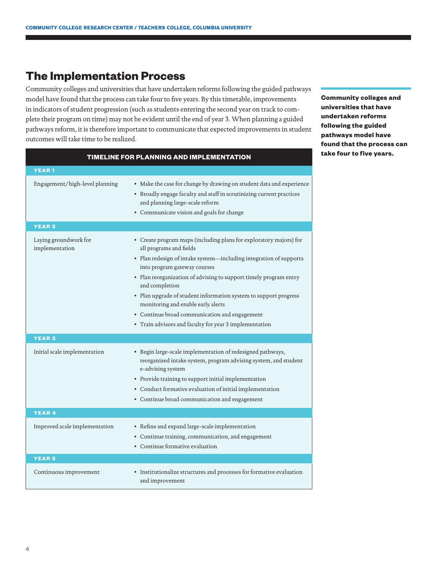### **The Implementation Process**

Community colleges and universities that have undertaken reforms following the guided pathways model have found that the process can take four to five years. By this timetable, improvements in indicators of student progression (such as students entering the second year on track to complete their program on time) may not be evident until the end of year 3. When planning a guided pathways reform, it is therefore important to communicate that expected improvements in student outcomes will take time to be realized.

**TIMELINE FOR PLANNING AND IMPLEMENTATION**

| <b>YEAR1</b>                            |                                                                                                                                                                                                                                                                                                                                                                                                                                                                                                                 |
|-----------------------------------------|-----------------------------------------------------------------------------------------------------------------------------------------------------------------------------------------------------------------------------------------------------------------------------------------------------------------------------------------------------------------------------------------------------------------------------------------------------------------------------------------------------------------|
| Engagement/high-level planning          | • Make the case for change by drawing on student data and experience<br>• Broadly engage faculty and staff in scrutinizing current practices<br>and planning large-scale reform<br>• Communicate vision and goals for change                                                                                                                                                                                                                                                                                    |
| <b>YEAR 2</b>                           |                                                                                                                                                                                                                                                                                                                                                                                                                                                                                                                 |
| Laying groundwork for<br>implementation | • Create program maps (including plans for exploratory majors) for<br>all programs and fields<br>• Plan redesign of intake system-including integration of supports<br>into program gateway courses<br>• Plan reorganization of advising to support timely program entry<br>and completion<br>• Plan upgrade of student information system to support progress<br>monitoring and enable early alerts<br>• Continue broad communication and engagement<br>• Train advisors and faculty for year 3 implementation |
| <b>YEAR3</b>                            |                                                                                                                                                                                                                                                                                                                                                                                                                                                                                                                 |
| Initial scale implementation            | • Begin large-scale implementation of redesigned pathways,<br>reorganized intake system, program advising system, and student<br>e-advising system<br>• Provide training to support initial implementation<br>• Conduct formative evaluation of initial implementation<br>• Continue broad communication and engagement                                                                                                                                                                                         |
| <b>YEAR4</b>                            |                                                                                                                                                                                                                                                                                                                                                                                                                                                                                                                 |
| Improved scale implementation           | • Refine and expand large-scale implementation<br>• Continue training, communication, and engagement<br>• Continue formative evaluation                                                                                                                                                                                                                                                                                                                                                                         |
| <b>YEAR 5</b>                           |                                                                                                                                                                                                                                                                                                                                                                                                                                                                                                                 |
| Continuous improvement                  | • Institutionalize structures and processes for formative evaluation<br>and improvement                                                                                                                                                                                                                                                                                                                                                                                                                         |

**Community colleges and universities that have undertaken reforms following the guided pathways model have found that the process can take four to five years.**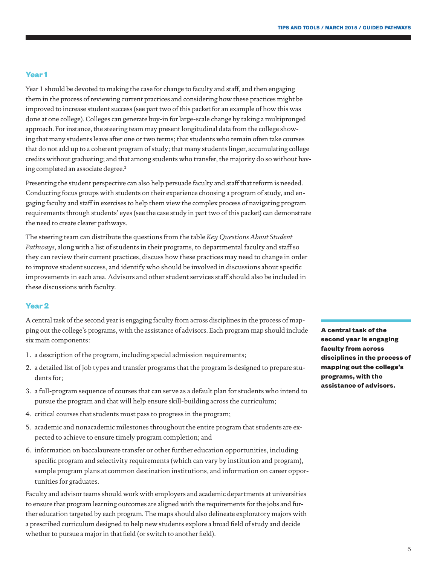#### **Year 1**

Year 1 should be devoted to making the case for change to faculty and staff, and then engaging them in the process of reviewing current practices and considering how these practices might be improved to increase student success (see part two of this packet for an example of how this was done at one college). Colleges can generate buy-in for large-scale change by taking a multipronged approach. For instance, the steering team may present longitudinal data from the college showing that many students leave after one or two terms; that students who remain often take courses that do not add up to a coherent program of study; that many students linger, accumulating college credits without graduating; and that among students who transfer, the majority do so without having completed an associate degree.<sup>2</sup>

Presenting the student perspective can also help persuade faculty and staff that reform is needed. Conducting focus groups with students on their experience choosing a program of study, and engaging faculty and staff in exercises to help them view the complex process of navigating program requirements through students' eyes (see the case study in part two of this packet) can demonstrate the need to create clearer pathways.

The steering team can distribute the questions from the table *Key Questions About Student Pathways*, along with a list of students in their programs, to departmental faculty and staff so they can review their current practices, discuss how these practices may need to change in order to improve student success, and identify who should be involved in discussions about specific improvements in each area. Advisors and other student services staff should also be included in these discussions with faculty.

#### **Year 2**

A central task of the second year is engaging faculty from across disciplines in the process of mapping out the college's programs, with the assistance of advisors. Each program map should include six main components:

- 1. a description of the program, including special admission requirements;
- 2. a detailed list of job types and transfer programs that the program is designed to prepare students for;
- 3. a full-program sequence of courses that can serve as a default plan for students who intend to pursue the program and that will help ensure skill-building across the curriculum;
- 4. critical courses that students must pass to progress in the program;
- 5. academic and nonacademic milestones throughout the entire program that students are expected to achieve to ensure timely program completion; and
- 6. information on baccalaureate transfer or other further education opportunities, including specific program and selectivity requirements (which can vary by institution and program), sample program plans at common destination institutions, and information on career opportunities for graduates.

Faculty and advisor teams should work with employers and academic departments at universities to ensure that program learning outcomes are aligned with the requirements for the jobs and further education targeted by each program. The maps should also delineate exploratory majors with a prescribed curriculum designed to help new students explore a broad field of study and decide whether to pursue a major in that field (or switch to another field).

**A central task of the second year is engaging faculty from across disciplines in the process of mapping out the college's programs, with the assistance of advisors.**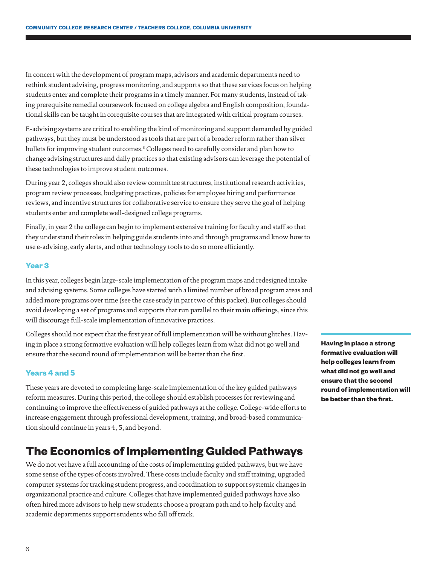In concert with the development of program maps, advisors and academic departments need to rethink student advising, progress monitoring, and supports so that these services focus on helping students enter and complete their programs in a timely manner. For many students, instead of taking prerequisite remedial coursework focused on college algebra and English composition, foundational skills can be taught in corequisite courses that are integrated with critical program courses.

E-advising systems are critical to enabling the kind of monitoring and support demanded by guided pathways, but they must be understood as tools that are part of a broader reform rather than silver bullets for improving student outcomes[.3](#page-7-2) Colleges need to carefully consider and plan how to change advising structures and daily practices so that existing advisors can leverage the potential of these technologies to improve student outcomes.

During year 2, colleges should also review committee structures, institutional research activities, program review processes, budgeting practices, policies for employee hiring and performance reviews, and incentive structures for collaborative service to ensure they serve the goal of helping students enter and complete well-designed college programs.

Finally, in year 2 the college can begin to implement extensive training for faculty and staff so that they understand their roles in helping guide students into and through programs and know how to use e-advising, early alerts, and other technology tools to do so more efficiently.

#### **Year 3**

In this year, colleges begin large-scale implementation of the program maps and redesigned intake and advising systems. Some colleges have started with a limited number of broad program areas and added more programs over time (see the case study in part two of this packet). But colleges should avoid developing a set of programs and supports that run parallel to their main offerings, since this will discourage full-scale implementation of innovative practices.

Colleges should not expect that the first year of full implementation will be without glitches. Having in place a strong formative evaluation will help colleges learn from what did not go well and ensure that the second round of implementation will be better than the first.

#### **Years 4 and 5**

These years are devoted to completing large-scale implementation of the key guided pathways reform measures. During this period, the college should establish processes for reviewing and continuing to improve the effectiveness of guided pathways at the college. College-wide efforts to increase engagement through professional development, training, and broad-based communication should continue in years 4, 5, and beyond.

## **The Economics of Implementing Guided Pathways**

We do not yet have a full accounting of the costs of implementing guided pathways, but we have some sense of the types of costs involved. These costs include faculty and staff training, upgraded computer systems for tracking student progress, and coordination to support systemic changes in organizational practice and culture. Colleges that have implemented guided pathways have also often hired more advisors to help new students choose a program path and to help faculty and academic departments support students who fall off track.

**Having in place a strong formative evaluation will help colleges learn from what did not go well and ensure that the second round of implementation will be better than the first.**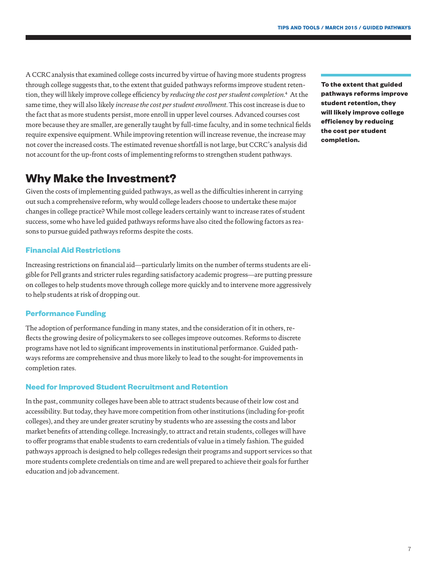A CCRC analysis that examined college costs incurred by virtue of having more students progress through college suggests that, to the extent that guided pathways reforms improve student retention, they will likely improve college efficiency by *reducing the cost per student completion*. [4](#page-7-3) At the same time, they will also likely *increase the cost per student enrollment*. This cost increase is due to the fact that as more students persist, more enroll in upper level courses. Advanced courses cost more because they are smaller, are generally taught by full-time faculty, and in some technical fields require expensive equipment. While improving retention will increase revenue, the increase may not cover the increased costs. The estimated revenue shortfall is not large, but CCRC's analysis did not account for the up-front costs of implementing reforms to strengthen student pathways.

## **Why Make the Investment?**

Given the costs of implementing guided pathways, as well as the difficulties inherent in carrying out such a comprehensive reform, why would college leaders choose to undertake these major changes in college practice? While most college leaders certainly want to increase rates of student success, some who have led guided pathways reforms have also cited the following factors as reasons to pursue guided pathways reforms despite the costs.

#### **Financial Aid Restrictions**

Increasing restrictions on financial aid—particularly limits on the number of terms students are eligible for Pell grants and stricter rules regarding satisfactory academic progress—are putting pressure on colleges to help students move through college more quickly and to intervene more aggressively to help students at risk of dropping out.

#### **Performance Funding**

The adoption of performance funding in many states, and the consideration of it in others, reflects the growing desire of policymakers to see colleges improve outcomes. Reforms to discrete programs have not led to significant improvements in institutional performance. Guided pathways reforms are comprehensive and thus more likely to lead to the sought-for improvements in completion rates.

#### **Need for Improved Student Recruitment and Retention**

In the past, community colleges have been able to attract students because of their low cost and accessibility. But today, they have more competition from other institutions (including for-profit colleges), and they are under greater scrutiny by students who are assessing the costs and labor market benefits of attending college. Increasingly, to attract and retain students, colleges will have to offer programs that enable students to earn credentials of value in a timely fashion. The guided pathways approach is designed to help colleges redesign their programs and support services so that more students complete credentials on time and are well prepared to achieve their goals for further education and job advancement.

**To the extent that guided pathways reforms improve student retention, they will likely improve college efficiency by reducing the cost per student completion.**